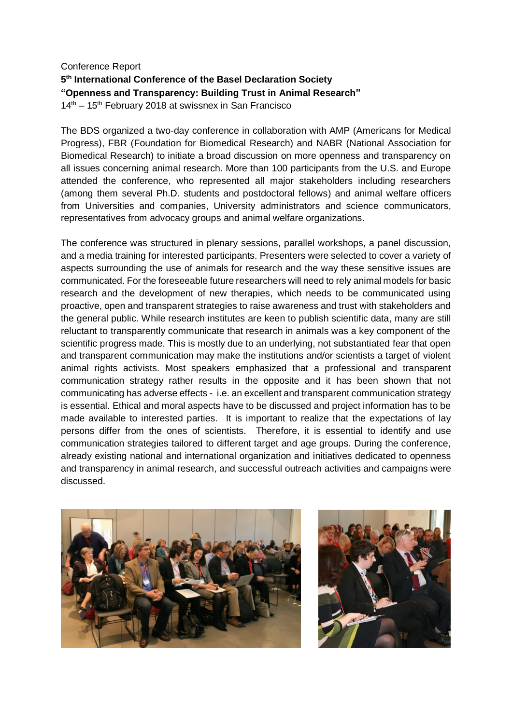## Conference Report **5 th International Conference of the Basel Declaration Society "Openness and Transparency: Building Trust in Animal Research"**  $14<sup>th</sup> - 15<sup>th</sup>$  February 2018 at swissnex in San Francisco

The BDS organized a two-day conference in collaboration with AMP (Americans for Medical Progress), FBR (Foundation for Biomedical Research) and NABR (National Association for Biomedical Research) to initiate a broad discussion on more openness and transparency on all issues concerning animal research. More than 100 participants from the U.S. and Europe attended the conference, who represented all major stakeholders including researchers (among them several Ph.D. students and postdoctoral fellows) and animal welfare officers from Universities and companies, University administrators and science communicators, representatives from advocacy groups and animal welfare organizations.

The conference was structured in plenary sessions, parallel workshops, a panel discussion, and a media training for interested participants. Presenters were selected to cover a variety of aspects surrounding the use of animals for research and the way these sensitive issues are communicated. For the foreseeable future researchers will need to rely animal models for basic research and the development of new therapies, which needs to be communicated using proactive, open and transparent strategies to raise awareness and trust with stakeholders and the general public. While research institutes are keen to publish scientific data, many are still reluctant to transparently communicate that research in animals was a key component of the scientific progress made. This is mostly due to an underlying, not substantiated fear that open and transparent communication may make the institutions and/or scientists a target of violent animal rights activists. Most speakers emphasized that a professional and transparent communication strategy rather results in the opposite and it has been shown that not communicating has adverse effects - i.e. an excellent and transparent communication strategy is essential. Ethical and moral aspects have to be discussed and project information has to be made available to interested parties. It is important to realize that the expectations of lay persons differ from the ones of scientists. Therefore, it is essential to identify and use communication strategies tailored to different target and age groups. During the conference, already existing national and international organization and initiatives dedicated to openness and transparency in animal research, and successful outreach activities and campaigns were discussed.



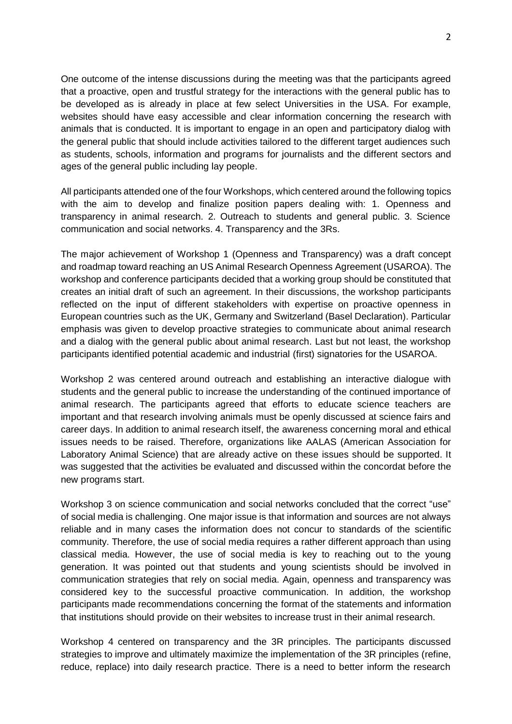One outcome of the intense discussions during the meeting was that the participants agreed that a proactive, open and trustful strategy for the interactions with the general public has to be developed as is already in place at few select Universities in the USA. For example, websites should have easy accessible and clear information concerning the research with animals that is conducted. It is important to engage in an open and participatory dialog with the general public that should include activities tailored to the different target audiences such as students, schools, information and programs for journalists and the different sectors and ages of the general public including lay people.

All participants attended one of the four Workshops, which centered around the following topics with the aim to develop and finalize position papers dealing with: 1. Openness and transparency in animal research. 2. Outreach to students and general public. 3. Science communication and social networks. 4. Transparency and the 3Rs.

The major achievement of Workshop 1 (Openness and Transparency) was a draft concept and roadmap toward reaching an US Animal Research Openness Agreement (USAROA). The workshop and conference participants decided that a working group should be constituted that creates an initial draft of such an agreement. In their discussions, the workshop participants reflected on the input of different stakeholders with expertise on proactive openness in European countries such as the UK, Germany and Switzerland (Basel Declaration). Particular emphasis was given to develop proactive strategies to communicate about animal research and a dialog with the general public about animal research. Last but not least, the workshop participants identified potential academic and industrial (first) signatories for the USAROA.

Workshop 2 was centered around outreach and establishing an interactive dialogue with students and the general public to increase the understanding of the continued importance of animal research. The participants agreed that efforts to educate science teachers are important and that research involving animals must be openly discussed at science fairs and career days. In addition to animal research itself, the awareness concerning moral and ethical issues needs to be raised. Therefore, organizations like AALAS (American Association for Laboratory Animal Science) that are already active on these issues should be supported. It was suggested that the activities be evaluated and discussed within the concordat before the new programs start.

Workshop 3 on science communication and social networks concluded that the correct "use" of social media is challenging. One major issue is that information and sources are not always reliable and in many cases the information does not concur to standards of the scientific community. Therefore, the use of social media requires a rather different approach than using classical media. However, the use of social media is key to reaching out to the young generation. It was pointed out that students and young scientists should be involved in communication strategies that rely on social media. Again, openness and transparency was considered key to the successful proactive communication. In addition, the workshop participants made recommendations concerning the format of the statements and information that institutions should provide on their websites to increase trust in their animal research.

Workshop 4 centered on transparency and the 3R principles. The participants discussed strategies to improve and ultimately maximize the implementation of the 3R principles (refine, reduce, replace) into daily research practice. There is a need to better inform the research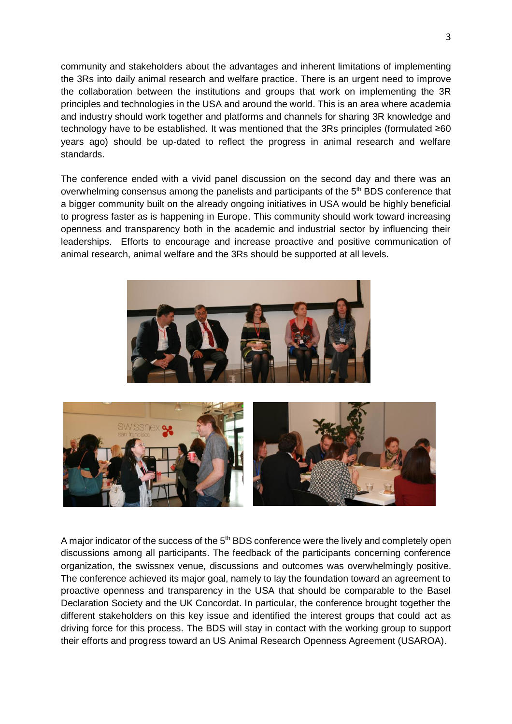community and stakeholders about the advantages and inherent limitations of implementing the 3Rs into daily animal research and welfare practice. There is an urgent need to improve the collaboration between the institutions and groups that work on implementing the 3R principles and technologies in the USA and around the world. This is an area where academia and industry should work together and platforms and channels for sharing 3R knowledge and technology have to be established. It was mentioned that the 3Rs principles (formulated ≥60 years ago) should be up-dated to reflect the progress in animal research and welfare standards.

The conference ended with a vivid panel discussion on the second day and there was an overwhelming consensus among the panelists and participants of the 5<sup>th</sup> BDS conference that a bigger community built on the already ongoing initiatives in USA would be highly beneficial to progress faster as is happening in Europe. This community should work toward increasing openness and transparency both in the academic and industrial sector by influencing their leaderships. Efforts to encourage and increase proactive and positive communication of animal research, animal welfare and the 3Rs should be supported at all levels.





A major indicator of the success of the  $5<sup>th</sup>$  BDS conference were the lively and completely open discussions among all participants. The feedback of the participants concerning conference organization, the swissnex venue, discussions and outcomes was overwhelmingly positive. The conference achieved its major goal, namely to lay the foundation toward an agreement to proactive openness and transparency in the USA that should be comparable to the Basel Declaration Society and the UK Concordat. In particular, the conference brought together the different stakeholders on this key issue and identified the interest groups that could act as driving force for this process. The BDS will stay in contact with the working group to support their efforts and progress toward an US Animal Research Openness Agreement (USAROA).